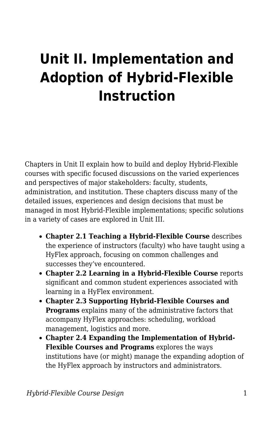## **Unit II. Implementation and Adoption of Hybrid-Flexible Instruction**

Chapters in Unit II explain how to build and deploy Hybrid-Flexible courses with specific focused discussions on the varied experiences and perspectives of major stakeholders: faculty, students, administration, and institution. These chapters discuss many of the detailed issues, experiences and design decisions that must be managed in most Hybrid-Flexible implementations; specific solutions in a variety of cases are explored in Unit III.

- **Chapter 2.1 Teaching a Hybrid-Flexible Course** describes the experience of instructors (faculty) who have taught using a HyFlex approach, focusing on common challenges and successes they've encountered.
- **Chapter 2.2 Learning in a Hybrid-Flexible Course** reports significant and common student experiences associated with learning in a HyFlex environment.
- **Chapter 2.3 Supporting Hybrid-Flexible Courses and Programs** explains many of the administrative factors that accompany HyFlex approaches: scheduling, workload management, logistics and more.
- **Chapter 2.4 Expanding the Implementation of Hybrid-Flexible Courses and Programs** explores the ways institutions have (or might) manage the expanding adoption of the HyFlex approach by instructors and administrators.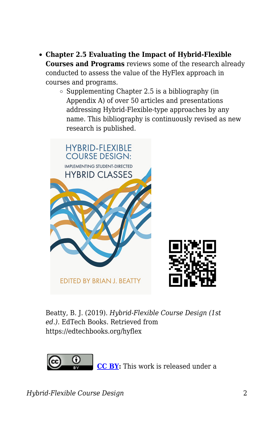- **Chapter 2.5 Evaluating the Impact of Hybrid-Flexible Courses and Programs** reviews some of the research already conducted to assess the value of the HyFlex approach in courses and programs.
	- $\circ$  Supplementing Chapter 2.5 is a bibliography (in Appendix A) of over 50 articles and presentations addressing Hybrid-Flexible-type approaches by any name. This bibliography is continuously revised as new research is published.



Beatty, B. J. (2019). *Hybrid-Flexible Course Design (1st ed.)*. EdTech Books. Retrieved from https://edtechbooks.org/hyflex